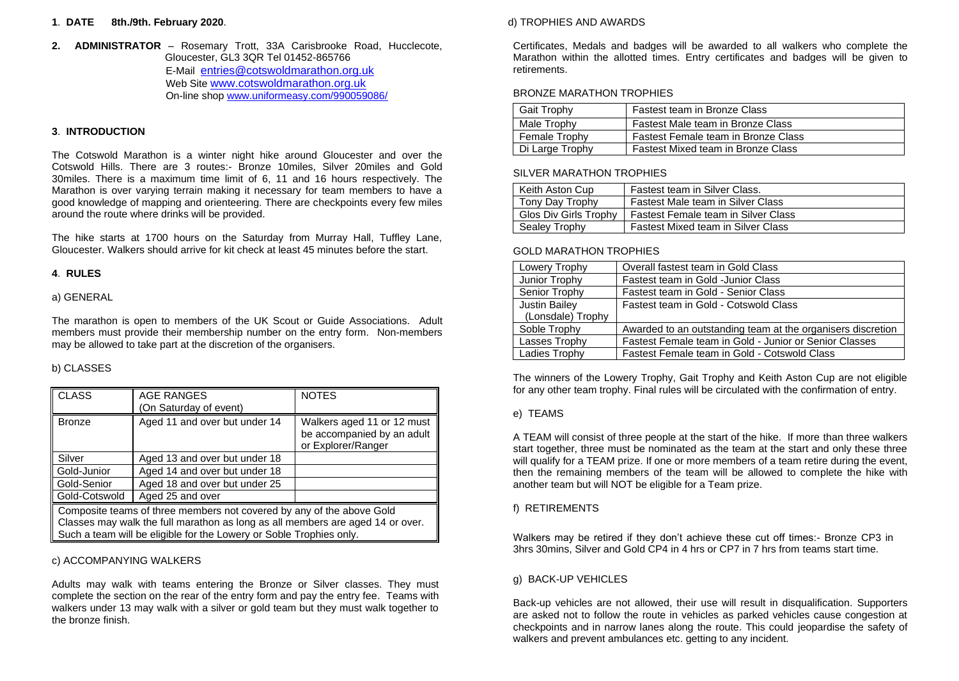#### **1**. **DATE 8th./9th. February 2020**.

**2. ADMINISTRATOR** – Rosemary Trott, 33A Carisbrooke Road, Hucclecote, Gloucester, GL3 3QR Tel 01452-865766 E-Mail [entries@cotswoldmarathon.org.uk](mailto:entries@cotswoldmarathon.org.uk) Web Site [www.cotswoldmarathon.org.uk](http://www.cotswldmarathon.org.uk/) On-line sho[p www.uniformeasy.com/990059086/](https://www.uniformeasy.com/990059086/)

## **3**. **INTRODUCTION**

The Cotswold Marathon is a winter night hike around Gloucester and over the Cotswold Hills. There are 3 routes:- Bronze 10miles, Silver 20miles and Gold 30miles. There is a maximum time limit of 6, 11 and 16 hours respectively. The Marathon is over varying terrain making it necessary for team members to have a good knowledge of mapping and orienteering. There are checkpoints every few miles around the route where drinks will be provided.

The hike starts at 1700 hours on the Saturday from Murray Hall, Tuffley Lane, Gloucester. Walkers should arrive for kit check at least 45 minutes before the start.

#### **4**. **RULES**

#### a) GENERAL

The marathon is open to members of the UK Scout or Guide Associations. Adult members must provide their membership number on the entry form. Non-members may be allowed to take part at the discretion of the organisers.

## b) CLASSES

| $\overline{\overline{\text{CLASS}}}$                                                       | <b>AGE RANGES</b>             | <b>NOTES</b>                                                                   |  |
|--------------------------------------------------------------------------------------------|-------------------------------|--------------------------------------------------------------------------------|--|
|                                                                                            | (On Saturday of event)        |                                                                                |  |
| <b>Bronze</b>                                                                              | Aged 11 and over but under 14 | Walkers aged 11 or 12 must<br>be accompanied by an adult<br>or Explorer/Ranger |  |
| Silver                                                                                     | Aged 13 and over but under 18 |                                                                                |  |
| ll Gold-Junior                                                                             | Aged 14 and over but under 18 |                                                                                |  |
| ll Gold-Senior                                                                             | Aged 18 and over but under 25 |                                                                                |  |
| ll Gold-Cotswold                                                                           | Aged 25 and over              |                                                                                |  |
| Composite teams of three members not covered by any of the above Gold                      |                               |                                                                                |  |
| $\parallel$ Classes may walk the full marathon as long as all members are aged 14 or over. |                               |                                                                                |  |
| Such a team will be eligible for the Lowery or Soble Trophies only.                        |                               |                                                                                |  |

## c) ACCOMPANYING WALKERS

Adults may walk with teams entering the Bronze or Silver classes. They must complete the section on the rear of the entry form and pay the entry fee. Teams with walkers under 13 may walk with a silver or gold team but they must walk together to the bronze finish.

#### d) TROPHIES AND AWARDS

Certificates, Medals and badges will be awarded to all walkers who complete the Marathon within the allotted times. Entry certificates and badges will be given to retirements.

#### BRONZE MARATHON TROPHIES

| <b>Gait Trophy</b> | Fastest team in Bronze Class        |
|--------------------|-------------------------------------|
| Male Trophy        | Fastest Male team in Bronze Class   |
| Female Trophy      | Fastest Female team in Bronze Class |
| Di Large Trophy    | Fastest Mixed team in Bronze Class  |

#### SILVER MARATHON TROPHIES

| Keith Aston Cup       | Fastest team in Silver Class.             |
|-----------------------|-------------------------------------------|
| Tony Day Trophy       | Fastest Male team in Silver Class         |
| Glos Div Girls Trophy | Fastest Female team in Silver Class       |
| Sealey Trophy         | <b>Fastest Mixed team in Silver Class</b> |

#### GOLD MARATHON TROPHIES

| Lowery Trophy        | Overall fastest team in Gold Class                          |
|----------------------|-------------------------------------------------------------|
| Junior Trophy        | Fastest team in Gold -Junior Class                          |
| Senior Trophy        | Fastest team in Gold - Senior Class                         |
| <b>Justin Bailey</b> | Fastest team in Gold - Cotswold Class                       |
| (Lonsdale) Trophy    |                                                             |
| Soble Trophy         | Awarded to an outstanding team at the organisers discretion |
| Lasses Trophy        | Fastest Female team in Gold - Junior or Senior Classes      |
| Ladies Trophy        | Fastest Female team in Gold - Cotswold Class                |

The winners of the Lowery Trophy, Gait Trophy and Keith Aston Cup are not eligible for any other team trophy. Final rules will be circulated with the confirmation of entry.

#### e) TEAMS

A TEAM will consist of three people at the start of the hike. If more than three walkers start together, three must be nominated as the team at the start and only these three will qualify for a TEAM prize. If one or more members of a team retire during the event, then the remaining members of the team will be allowed to complete the hike with another team but will NOT be eligible for a Team prize.

#### f) RETIREMENTS

Walkers may be retired if they don't achieve these cut off times:- Bronze CP3 in 3hrs 30mins, Silver and Gold CP4 in 4 hrs or CP7 in 7 hrs from teams start time.

### g) BACK-UP VEHICLES

Back-up vehicles are not allowed, their use will result in disqualification. Supporters are asked not to follow the route in vehicles as parked vehicles cause congestion at checkpoints and in narrow lanes along the route. This could jeopardise the safety of walkers and prevent ambulances etc. getting to any incident.